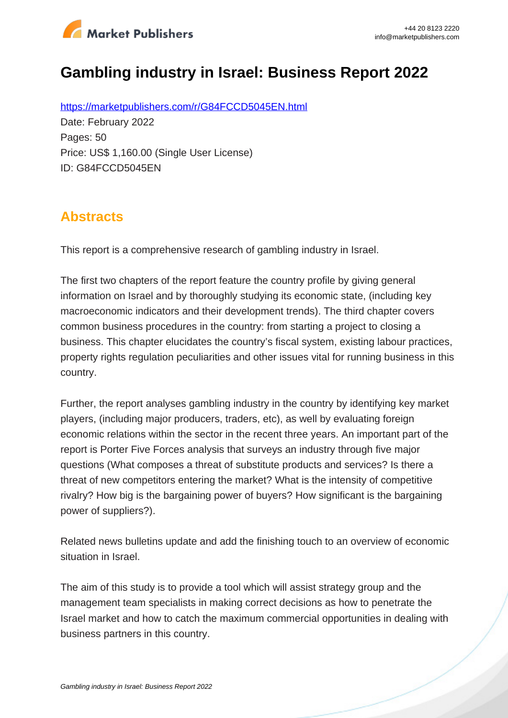

# **Gambling industry in Israel: Business Report 2022**

https://marketpublishers.com/r/G84FCCD5045EN.html Date: February 2022 Pages: 50 Price: US\$ 1,160.00 (Single User License) ID: G84FCCD5045EN

### **Abstracts**

This report is a comprehensive research of gambling industry in Israel.

The first two chapters of the report feature the country profile by giving general information on Israel and by thoroughly studying its economic state, (including key macroeconomic indicators and their development trends). The third chapter covers common business procedures in the country: from starting a project to closing a business. This chapter elucidates the country's fiscal system, existing labour practices, property rights regulation peculiarities and other issues vital for running business in this country.

Further, the report analyses gambling industry in the country by identifying key market players, (including major producers, traders, etc), as well by evaluating foreign economic relations within the sector in the recent three years. An important part of the report is Porter Five Forces analysis that surveys an industry through five major questions (What composes a threat of substitute products and services? Is there a threat of new competitors entering the market? What is the intensity of competitive rivalry? How big is the bargaining power of buyers? How significant is the bargaining power of suppliers?).

Related news bulletins update and add the finishing touch to an overview of economic situation in Israel.

The aim of this study is to provide a tool which will assist strategy group and the management team specialists in making correct decisions as how to penetrate the Israel market and how to catch the maximum commercial opportunities in dealing with business partners in this country.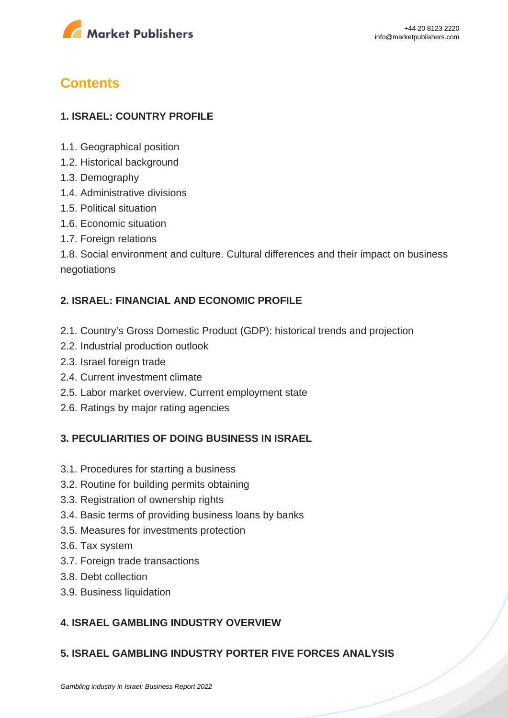

## **Contents**

#### **1. ISRAEL: COUNTRY PROFILE**

- 1.1. Geographical position
- 1.2. Historical background
- 1.3. Demography
- 1.4. Administrative divisions
- 1.5. Political situation
- 1.6. Economic situation
- 1.7. Foreign relations

1.8. Social environment and culture. Cultural differences and their impact on business negotiations

#### **2. ISRAEL: FINANCIAL AND ECONOMIC PROFILE**

- 2.1. Country's Gross Domestic Product (GDP): historical trends and projection
- 2.2. Industrial production outlook
- 2.3. Israel foreign trade
- 2.4. Current investment climate
- 2.5. Labor market overview. Current employment state
- 2.6. Ratings by major rating agencies

#### **3. PECULIARITIES OF DOING BUSINESS IN ISRAEL**

- 3.1. Procedures for starting a business
- 3.2. Routine for building permits obtaining
- 3.3. Registration of ownership rights
- 3.4. Basic terms of providing business loans by banks
- 3.5. Measures for investments protection
- 3.6. Tax system
- 3.7. Foreign trade transactions
- 3.8. Debt collection
- 3.9. Business liquidation

#### **4. ISRAEL GAMBLING INDUSTRY OVERVIEW**

#### **5. ISRAEL GAMBLING INDUSTRY PORTER FIVE FORCES ANALYSIS**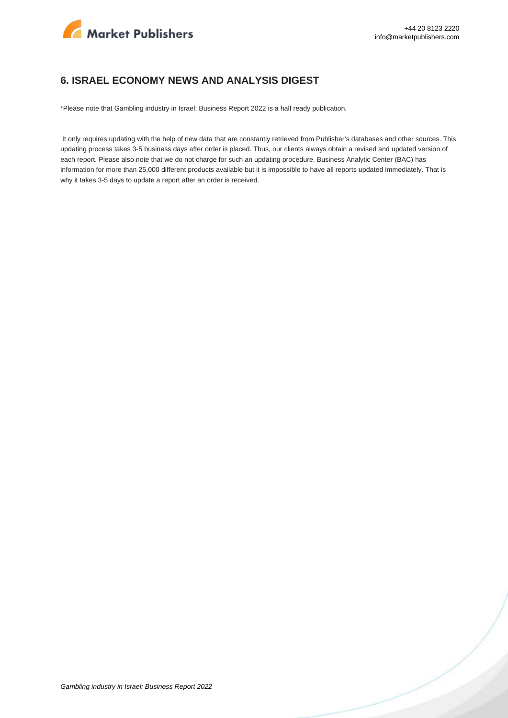

#### **6. ISRAEL ECONOMY NEWS AND ANALYSIS DIGEST**

\*Please note that Gambling industry in Israel: Business Report 2022 is a half ready publication.

 It only requires updating with the help of new data that are constantly retrieved from Publisher's databases and other sources. This updating process takes 3-5 business days after order is placed. Thus, our clients always obtain a revised and updated version of each report. Please also note that we do not charge for such an updating procedure. Business Analytic Center (BAC) has information for more than 25,000 different products available but it is impossible to have all reports updated immediately. That is why it takes 3-5 days to update a report after an order is received.